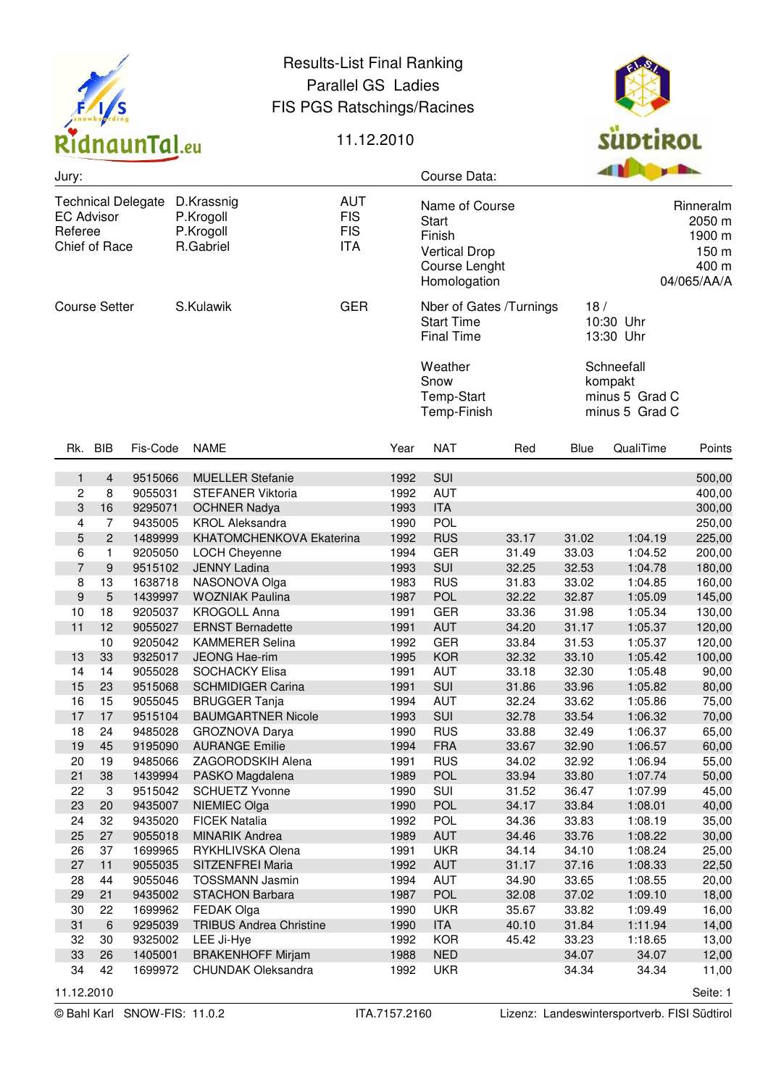

## Results-List Final Ranking Parallel GS Ladies FIS PGS Ratschings/Racines



## 11.12.2010

| Jury:                                                                                                                                                                                   |                |          |                                          |                                                                                                   |              | Course Data:                                      |                                                                | <b>B B B B</b>                              |                                             |                |
|-----------------------------------------------------------------------------------------------------------------------------------------------------------------------------------------|----------------|----------|------------------------------------------|---------------------------------------------------------------------------------------------------|--------------|---------------------------------------------------|----------------------------------------------------------------|---------------------------------------------|---------------------------------------------|----------------|
| <b>AUT</b><br>D.Krassnig<br><b>Technical Delegate</b><br><b>FIS</b><br><b>EC Advisor</b><br>P.Krogoll<br><b>FIS</b><br>Referee<br>P.Krogoll<br><b>ITA</b><br>Chief of Race<br>R.Gabriel |                |          |                                          | Name of Course<br><b>Start</b><br>Finish<br><b>Vertical Drop</b><br>Course Lenght<br>Homologation |              |                                                   | Rinneralm<br>2050 m<br>1900 m<br>150 m<br>400 m<br>04/065/AA/A |                                             |                                             |                |
| S.Kulawik<br><b>Course Setter</b>                                                                                                                                                       |                |          |                                          | <b>GER</b>                                                                                        |              | <b>Start Time</b><br><b>Final Time</b><br>Weather | Nber of Gates /Turnings                                        | 18/<br>10:30 Uhr<br>13:30 Uhr<br>Schneefall |                                             |                |
|                                                                                                                                                                                         |                |          |                                          |                                                                                                   |              | Snow<br>Temp-Start<br>Temp-Finish                 |                                                                |                                             | kompakt<br>minus 5 Grad C<br>minus 5 Grad C |                |
| Rk.                                                                                                                                                                                     | <b>BIB</b>     | Fis-Code | <b>NAME</b>                              |                                                                                                   | Year         | <b>NAT</b>                                        | Red                                                            | Blue                                        | QualiTime                                   | Points         |
| 1                                                                                                                                                                                       | 4              | 9515066  | <b>MUELLER Stefanie</b>                  |                                                                                                   | 1992         | SUI                                               |                                                                |                                             |                                             | 500,00         |
| 2                                                                                                                                                                                       | 8              | 9055031  | STEFANER Viktoria                        |                                                                                                   | 1992         | <b>AUT</b>                                        |                                                                |                                             |                                             | 400,00         |
| 3                                                                                                                                                                                       | 16             | 9295071  | <b>OCHNER Nadya</b>                      |                                                                                                   | 1993         | <b>ITA</b>                                        |                                                                |                                             |                                             | 300,00         |
| $\overline{4}$                                                                                                                                                                          | 7              | 9435005  | <b>KROL Aleksandra</b>                   |                                                                                                   | 1990         | <b>POL</b>                                        |                                                                |                                             |                                             | 250,00         |
| 5                                                                                                                                                                                       | $\overline{c}$ | 1489999  | KHATOMCHENKOVA Ekaterina                 |                                                                                                   | 1992         | <b>RUS</b>                                        | 33.17                                                          | 31.02                                       | 1:04.19                                     | 225,00         |
| 6                                                                                                                                                                                       | 1              | 9205050  | LOCH Cheyenne                            |                                                                                                   | 1994         | <b>GER</b>                                        | 31.49                                                          | 33.03                                       | 1:04.52                                     | 200,00         |
| 7                                                                                                                                                                                       | 9              | 9515102  | <b>JENNY Ladina</b>                      |                                                                                                   | 1993         | SUI                                               | 32.25                                                          | 32.53                                       | 1:04.78                                     | 180,00         |
| 8                                                                                                                                                                                       | 13             | 1638718  | NASONOVA Olga                            |                                                                                                   | 1983         | <b>RUS</b>                                        | 31.83                                                          | 33.02                                       | 1:04.85                                     | 160,00         |
| 9                                                                                                                                                                                       | 5              | 1439997  | <b>WOZNIAK Paulina</b>                   |                                                                                                   | 1987         | <b>POL</b>                                        | 32.22                                                          | 32.87                                       | 1:05.09                                     | 145,00         |
| 10                                                                                                                                                                                      | 18             | 9205037  | <b>KROGOLL Anna</b>                      |                                                                                                   | 1991         | <b>GER</b>                                        | 33.36                                                          | 31.98                                       | 1:05.34                                     | 130,00         |
| 11                                                                                                                                                                                      | 12             | 9055027  | <b>ERNST Bernadette</b>                  |                                                                                                   | 1991         | <b>AUT</b>                                        | 34.20                                                          | 31.17                                       | 1:05.37                                     | 120,00         |
|                                                                                                                                                                                         | 10             | 9205042  | <b>KAMMERER Selina</b>                   |                                                                                                   | 1992         | <b>GER</b>                                        | 33.84                                                          | 31.53                                       | 1:05.37                                     | 120,00         |
| 13                                                                                                                                                                                      | 33             | 9325017  | JEONG Hae-rim                            |                                                                                                   | 1995         | <b>KOR</b>                                        | 32.32                                                          | 33.10                                       | 1:05.42                                     | 100,00         |
| 14                                                                                                                                                                                      | 14             | 9055028  | <b>SOCHACKY Elisa</b>                    |                                                                                                   | 1991         | <b>AUT</b>                                        | 33.18                                                          | 32.30                                       | 1:05.48                                     | 90,00          |
| 15                                                                                                                                                                                      | 23             | 9515068  | <b>SCHMIDIGER Carina</b>                 |                                                                                                   | 1991         | <b>SUI</b>                                        | 31.86                                                          | 33.96                                       | 1:05.82                                     | 80,00          |
| 16                                                                                                                                                                                      | 15             | 9055045  | <b>BRUGGER Tanja</b>                     |                                                                                                   | 1994         | <b>AUT</b>                                        | 32.24                                                          | 33.62                                       | 1:05.86                                     | 75,00          |
| 17                                                                                                                                                                                      | 17             | 9515104  | <b>BAUMGARTNER Nicole</b>                |                                                                                                   | 1993         | SUI                                               | 32.78                                                          | 33.54                                       | 1:06.32                                     | 70,00          |
| 18<br>19                                                                                                                                                                                | 24<br>45       | 9485028  | GROZNOVA Darya<br>9195090 AURANGE Emilie |                                                                                                   | 1990<br>1994 | <b>RUS</b><br><b>FRA</b>                          | 33.88<br>33.67                                                 | 32.49                                       | 1:06.37<br>1:06.57                          | 65,00          |
| 20                                                                                                                                                                                      | 19             | 9485066  | ZAGORODSKIH Alena                        |                                                                                                   | 1991         | <b>RUS</b>                                        | 34.02                                                          | 32.90<br>32.92                              | 1:06.94                                     | 60,00<br>55,00 |
| 21                                                                                                                                                                                      | 38             | 1439994  | PASKO Magdalena                          |                                                                                                   | 1989         | POL                                               | 33.94                                                          | 33.80                                       | 1:07.74                                     | 50,00          |
| 22                                                                                                                                                                                      | 3              | 9515042  | <b>SCHUETZ Yvonne</b>                    |                                                                                                   | 1990         | SUI                                               | 31.52                                                          | 36.47                                       | 1:07.99                                     | 45,00          |
| 23                                                                                                                                                                                      | 20             | 9435007  | NIEMIEC Olga                             |                                                                                                   | 1990         | <b>POL</b>                                        | 34.17                                                          | 33.84                                       | 1:08.01                                     | 40,00          |
| 24                                                                                                                                                                                      | 32             | 9435020  | <b>FICEK Natalia</b>                     |                                                                                                   | 1992         | <b>POL</b>                                        | 34.36                                                          | 33.83                                       | 1:08.19                                     | 35,00          |
| 25                                                                                                                                                                                      | 27             | 9055018  | <b>MINARIK Andrea</b>                    |                                                                                                   | 1989         | <b>AUT</b>                                        | 34.46                                                          | 33.76                                       | 1:08.22                                     | 30,00          |
| 26                                                                                                                                                                                      | 37             | 1699965  | RYKHLIVSKA Olena                         |                                                                                                   | 1991         | <b>UKR</b>                                        | 34.14                                                          | 34.10                                       | 1:08.24                                     | 25,00          |
| 27                                                                                                                                                                                      | 11             | 9055035  | SITZENFREI Maria                         |                                                                                                   | 1992         | <b>AUT</b>                                        | 31.17                                                          | 37.16                                       | 1:08.33                                     | 22,50          |
| 28                                                                                                                                                                                      | 44             | 9055046  | <b>TOSSMANN Jasmin</b>                   |                                                                                                   | 1994         | AUT                                               | 34.90                                                          | 33.65                                       | 1:08.55                                     | 20,00          |
| 29                                                                                                                                                                                      | 21             | 9435002  | <b>STACHON Barbara</b>                   |                                                                                                   | 1987         | <b>POL</b>                                        | 32.08                                                          | 37.02                                       | 1:09.10                                     | 18,00          |
| 30                                                                                                                                                                                      | 22             | 1699962  | FEDAK Olga                               |                                                                                                   | 1990         | <b>UKR</b>                                        | 35.67                                                          | 33.82                                       | 1:09.49                                     | 16,00          |
| 31                                                                                                                                                                                      | 6              | 9295039  | <b>TRIBUS Andrea Christine</b>           |                                                                                                   | 1990         | <b>ITA</b>                                        | 40.10                                                          | 31.84                                       | 1:11.94                                     | 14,00          |
| 32                                                                                                                                                                                      | 30             | 9325002  | LEE Ji-Hye                               |                                                                                                   | 1992         | <b>KOR</b>                                        | 45.42                                                          | 33.23                                       | 1:18.65                                     | 13,00          |
| 33                                                                                                                                                                                      | 26             | 1405001  | <b>BRAKENHOFF Mirjam</b>                 |                                                                                                   | 1988         | <b>NED</b>                                        |                                                                | 34.07                                       | 34.07                                       | 12,00          |
| 34                                                                                                                                                                                      | 42             | 1699972  | CHUNDAK Oleksandra                       |                                                                                                   | 1992         | <b>UKR</b>                                        |                                                                | 34.34                                       | 34.34                                       | 11,00          |